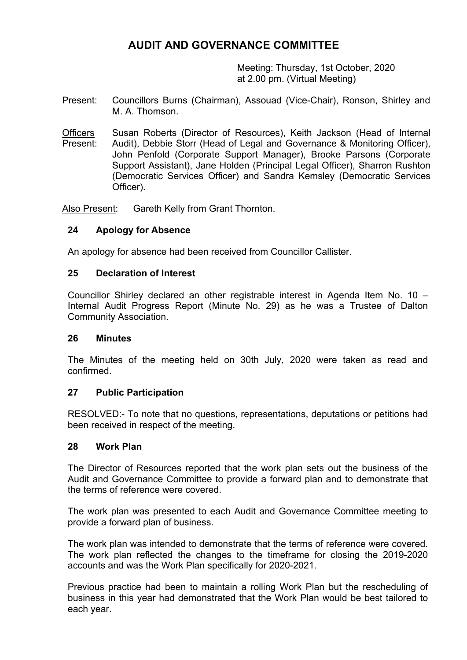# **AUDIT AND GOVERNANCE COMMITTEE**

Meeting: Thursday, 1st October, 2020 at 2.00 pm. (Virtual Meeting)

- Present: Councillors Burns (Chairman), Assouad (Vice-Chair), Ronson, Shirley and M. A. Thomson.
- **Officers** Present: Susan Roberts (Director of Resources), Keith Jackson (Head of Internal Audit), Debbie Storr (Head of Legal and Governance & Monitoring Officer), John Penfold (Corporate Support Manager), Brooke Parsons (Corporate Support Assistant), Jane Holden (Principal Legal Officer), Sharron Rushton (Democratic Services Officer) and Sandra Kemsley (Democratic Services Officer).

Also Present: Gareth Kelly from Grant Thornton.

# **24 Apology for Absence**

An apology for absence had been received from Councillor Callister.

### **25 Declaration of Interest**

Councillor Shirley declared an other registrable interest in Agenda Item No. 10 – Internal Audit Progress Report (Minute No. 29) as he was a Trustee of Dalton Community Association.

### **26 Minutes**

The Minutes of the meeting held on 30th July, 2020 were taken as read and confirmed.

### **27 Public Participation**

RESOLVED:- To note that no questions, representations, deputations or petitions had been received in respect of the meeting.

### **28 Work Plan**

The Director of Resources reported that the work plan sets out the business of the Audit and Governance Committee to provide a forward plan and to demonstrate that the terms of reference were covered.

The work plan was presented to each Audit and Governance Committee meeting to provide a forward plan of business.

The work plan was intended to demonstrate that the terms of reference were covered. The work plan reflected the changes to the timeframe for closing the 2019-2020 accounts and was the Work Plan specifically for 2020-2021.

Previous practice had been to maintain a rolling Work Plan but the rescheduling of business in this year had demonstrated that the Work Plan would be best tailored to each year.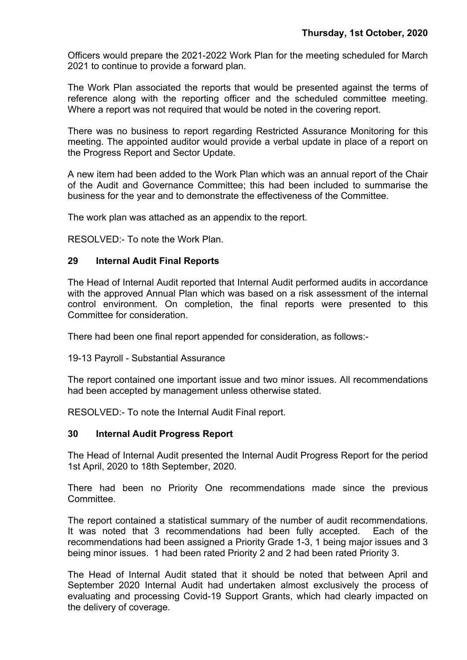Officers would prepare the 2021-2022 Work Plan for the meeting scheduled for March 2021 to continue to provide a forward plan.

The Work Plan associated the reports that would be presented against the terms of reference along with the reporting officer and the scheduled committee meeting. Where a report was not required that would be noted in the covering report.

There was no business to report regarding Restricted Assurance Monitoring for this meeting. The appointed auditor would provide a verbal update in place of a report on the Progress Report and Sector Update.

A new item had been added to the Work Plan which was an annual report of the Chair of the Audit and Governance Committee; this had been included to summarise the business for the year and to demonstrate the effectiveness of the Committee.

The work plan was attached as an appendix to the report.

RESOLVED:- To note the Work Plan.

### **29 Internal Audit Final Reports**

The Head of Internal Audit reported that Internal Audit performed audits in accordance with the approved Annual Plan which was based on a risk assessment of the internal control environment. On completion, the final reports were presented to this Committee for consideration.

There had been one final report appended for consideration, as follows:-

19-13 Payroll - Substantial Assurance

The report contained one important issue and two minor issues. All recommendations had been accepted by management unless otherwise stated.

RESOLVED:- To note the Internal Audit Final report.

### **30 Internal Audit Progress Report**

The Head of Internal Audit presented the Internal Audit Progress Report for the period 1st April, 2020 to 18th September, 2020.

There had been no Priority One recommendations made since the previous Committee.

The report contained a statistical summary of the number of audit recommendations. It was noted that 3 recommendations had been fully accepted. Each of the recommendations had been assigned a Priority Grade 1-3, 1 being major issues and 3 being minor issues. 1 had been rated Priority 2 and 2 had been rated Priority 3.

The Head of Internal Audit stated that it should be noted that between April and September 2020 Internal Audit had undertaken almost exclusively the process of evaluating and processing Covid-19 Support Grants, which had clearly impacted on the delivery of coverage.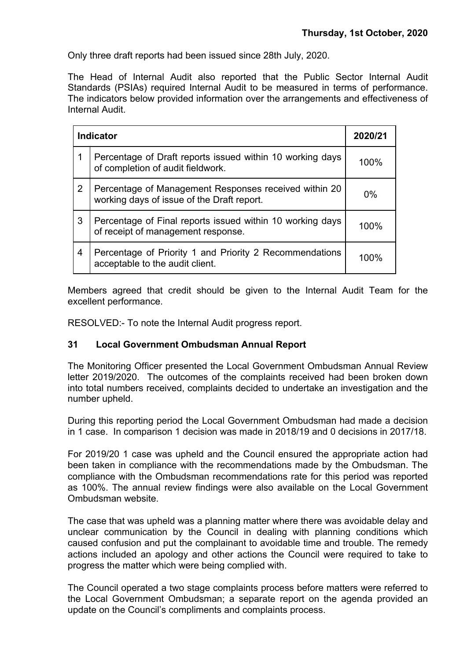Only three draft reports had been issued since 28th July, 2020.

The Head of Internal Audit also reported that the Public Sector Internal Audit Standards (PSIAs) required Internal Audit to be measured in terms of performance. The indicators below provided information over the arrangements and effectiveness of Internal Audit.

| <b>Indicator</b> |                                                                                                     | 2020/21 |
|------------------|-----------------------------------------------------------------------------------------------------|---------|
| 1                | Percentage of Draft reports issued within 10 working days<br>of completion of audit fieldwork.      | 100%    |
| 2                | Percentage of Management Responses received within 20<br>working days of issue of the Draft report. | $0\%$   |
| 3                | Percentage of Final reports issued within 10 working days<br>of receipt of management response.     | 100%    |
| $\overline{4}$   | Percentage of Priority 1 and Priority 2 Recommendations<br>acceptable to the audit client.          | 100%    |

Members agreed that credit should be given to the Internal Audit Team for the excellent performance.

RESOLVED:- To note the Internal Audit progress report.

# **31 Local Government Ombudsman Annual Report**

The Monitoring Officer presented the Local Government Ombudsman Annual Review letter 2019/2020. The outcomes of the complaints received had been broken down into total numbers received, complaints decided to undertake an investigation and the number upheld.

During this reporting period the Local Government Ombudsman had made a decision in 1 case. In comparison 1 decision was made in 2018/19 and 0 decisions in 2017/18.

For 2019/20 1 case was upheld and the Council ensured the appropriate action had been taken in compliance with the recommendations made by the Ombudsman. The compliance with the Ombudsman recommendations rate for this period was reported as 100%. The annual review findings were also available on the Local Government Ombudsman website.

The case that was upheld was a planning matter where there was avoidable delay and unclear communication by the Council in dealing with planning conditions which caused confusion and put the complainant to avoidable time and trouble. The remedy actions included an apology and other actions the Council were required to take to progress the matter which were being complied with.

The Council operated a two stage complaints process before matters were referred to the Local Government Ombudsman; a separate report on the agenda provided an update on the Council's compliments and complaints process.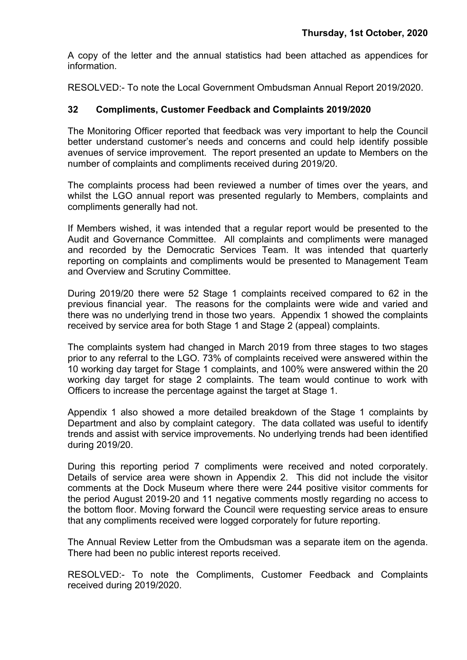A copy of the letter and the annual statistics had been attached as appendices for information.

RESOLVED:- To note the Local Government Ombudsman Annual Report 2019/2020.

# **32 Compliments, Customer Feedback and Complaints 2019/2020**

The Monitoring Officer reported that feedback was very important to help the Council better understand customer's needs and concerns and could help identify possible avenues of service improvement. The report presented an update to Members on the number of complaints and compliments received during 2019/20.

The complaints process had been reviewed a number of times over the years, and whilst the LGO annual report was presented regularly to Members, complaints and compliments generally had not.

If Members wished, it was intended that a regular report would be presented to the Audit and Governance Committee. All complaints and compliments were managed and recorded by the Democratic Services Team. It was intended that quarterly reporting on complaints and compliments would be presented to Management Team and Overview and Scrutiny Committee.

During 2019/20 there were 52 Stage 1 complaints received compared to 62 in the previous financial year. The reasons for the complaints were wide and varied and there was no underlying trend in those two years. Appendix 1 showed the complaints received by service area for both Stage 1 and Stage 2 (appeal) complaints.

The complaints system had changed in March 2019 from three stages to two stages prior to any referral to the LGO. 73% of complaints received were answered within the 10 working day target for Stage 1 complaints, and 100% were answered within the 20 working day target for stage 2 complaints. The team would continue to work with Officers to increase the percentage against the target at Stage 1.

Appendix 1 also showed a more detailed breakdown of the Stage 1 complaints by Department and also by complaint category. The data collated was useful to identify trends and assist with service improvements. No underlying trends had been identified during 2019/20.

During this reporting period 7 compliments were received and noted corporately. Details of service area were shown in Appendix 2. This did not include the visitor comments at the Dock Museum where there were 244 positive visitor comments for the period August 2019-20 and 11 negative comments mostly regarding no access to the bottom floor. Moving forward the Council were requesting service areas to ensure that any compliments received were logged corporately for future reporting.

The Annual Review Letter from the Ombudsman was a separate item on the agenda. There had been no public interest reports received.

RESOLVED:- To note the Compliments, Customer Feedback and Complaints received during 2019/2020.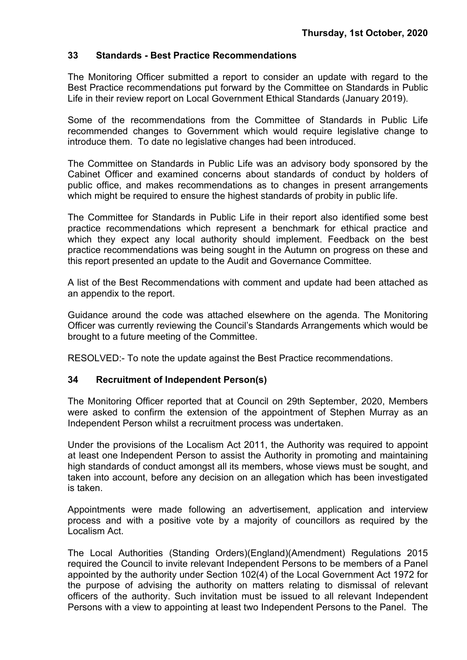# **33 Standards - Best Practice Recommendations**

The Monitoring Officer submitted a report to consider an update with regard to the Best Practice recommendations put forward by the Committee on Standards in Public Life in their review report on Local Government Ethical Standards (January 2019).

Some of the recommendations from the Committee of Standards in Public Life recommended changes to Government which would require legislative change to introduce them. To date no legislative changes had been introduced.

The Committee on Standards in Public Life was an advisory body sponsored by the Cabinet Officer and examined concerns about standards of conduct by holders of public office, and makes recommendations as to changes in present arrangements which might be required to ensure the highest standards of probity in public life.

The Committee for Standards in Public Life in their report also identified some best practice recommendations which represent a benchmark for ethical practice and which they expect any local authority should implement. Feedback on the best practice recommendations was being sought in the Autumn on progress on these and this report presented an update to the Audit and Governance Committee.

A list of the Best Recommendations with comment and update had been attached as an appendix to the report.

Guidance around the code was attached elsewhere on the agenda. The Monitoring Officer was currently reviewing the Council's Standards Arrangements which would be brought to a future meeting of the Committee.

RESOLVED:- To note the update against the Best Practice recommendations.

# **34 Recruitment of Independent Person(s)**

The Monitoring Officer reported that at Council on 29th September, 2020, Members were asked to confirm the extension of the appointment of Stephen Murray as an Independent Person whilst a recruitment process was undertaken.

Under the provisions of the Localism Act 2011, the Authority was required to appoint at least one Independent Person to assist the Authority in promoting and maintaining high standards of conduct amongst all its members, whose views must be sought, and taken into account, before any decision on an allegation which has been investigated is taken.

Appointments were made following an advertisement, application and interview process and with a positive vote by a majority of councillors as required by the Localism Act.

The Local Authorities (Standing Orders)(England)(Amendment) Regulations 2015 required the Council to invite relevant Independent Persons to be members of a Panel appointed by the authority under Section 102(4) of the Local Government Act 1972 for the purpose of advising the authority on matters relating to dismissal of relevant officers of the authority. Such invitation must be issued to all relevant Independent Persons with a view to appointing at least two Independent Persons to the Panel. The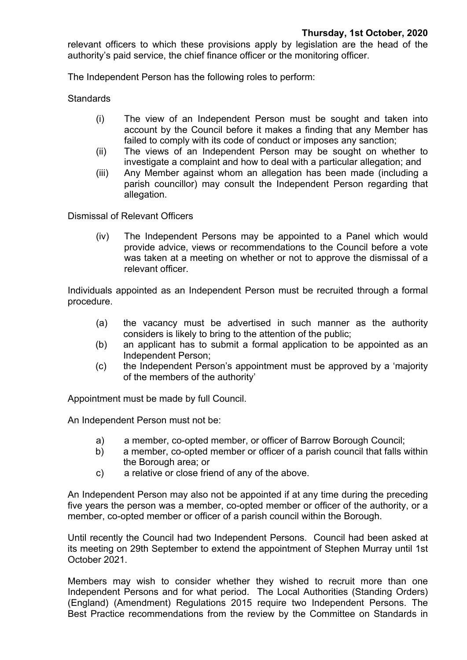relevant officers to which these provisions apply by legislation are the head of the authority's paid service, the chief finance officer or the monitoring officer.

The Independent Person has the following roles to perform:

**Standards** 

- (i) The view of an Independent Person must be sought and taken into account by the Council before it makes a finding that any Member has failed to comply with its code of conduct or imposes any sanction;
- (ii) The views of an Independent Person may be sought on whether to investigate a complaint and how to deal with a particular allegation; and
- (iii) Any Member against whom an allegation has been made (including a parish councillor) may consult the Independent Person regarding that allegation.

Dismissal of Relevant Officers

(iv) The Independent Persons may be appointed to a Panel which would provide advice, views or recommendations to the Council before a vote was taken at a meeting on whether or not to approve the dismissal of a relevant officer.

Individuals appointed as an Independent Person must be recruited through a formal procedure.

- (a) the vacancy must be advertised in such manner as the authority considers is likely to bring to the attention of the public;
- (b) an applicant has to submit a formal application to be appointed as an Independent Person;
- (c) the Independent Person's appointment must be approved by a 'majority of the members of the authority'

Appointment must be made by full Council.

An Independent Person must not be:

- a) a member, co-opted member, or officer of Barrow Borough Council;
- b) a member, co-opted member or officer of a parish council that falls within the Borough area; or
- c) a relative or close friend of any of the above.

An Independent Person may also not be appointed if at any time during the preceding five years the person was a member, co-opted member or officer of the authority, or a member, co-opted member or officer of a parish council within the Borough.

Until recently the Council had two Independent Persons. Council had been asked at its meeting on 29th September to extend the appointment of Stephen Murray until 1st October 2021.

Members may wish to consider whether they wished to recruit more than one Independent Persons and for what period. The Local Authorities (Standing Orders) (England) (Amendment) Regulations 2015 require two Independent Persons. The Best Practice recommendations from the review by the Committee on Standards in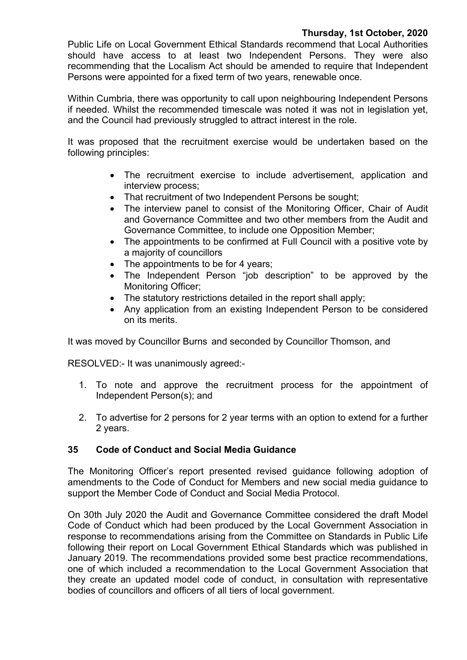# **Thursday, 1st October, 2020**

Public Life on Local Government Ethical Standards recommend that Local Authorities should have access to at least two Independent Persons. They were also recommending that the Localism Act should be amended to require that Independent Persons were appointed for a fixed term of two years, renewable once.

Within Cumbria, there was opportunity to call upon neighbouring Independent Persons if needed. Whilst the recommended timescale was noted it was not in legislation yet, and the Council had previously struggled to attract interest in the role.

It was proposed that the recruitment exercise would be undertaken based on the following principles:

- The recruitment exercise to include advertisement, application and interview process;
- That recruitment of two Independent Persons be sought;
- The interview panel to consist of the Monitoring Officer, Chair of Audit and Governance Committee and two other members from the Audit and Governance Committee, to include one Opposition Member;
- The appointments to be confirmed at Full Council with a positive vote by a majority of councillors
- The appointments to be for 4 years;
- The Independent Person "job description" to be approved by the Monitoring Officer;
- The statutory restrictions detailed in the report shall apply;
- Any application from an existing Independent Person to be considered on its merits.

It was moved by Councillor Burns and seconded by Councillor Thomson, and

RESOLVED:- It was unanimously agreed:-

- 1. To note and approve the recruitment process for the appointment of Independent Person(s); and
- 2. To advertise for 2 persons for 2 year terms with an option to extend for a further 2 years.

# **35 Code of Conduct and Social Media Guidance**

The Monitoring Officer's report presented revised guidance following adoption of amendments to the Code of Conduct for Members and new social media guidance to support the Member Code of Conduct and Social Media Protocol.

On 30th July 2020 the Audit and Governance Committee considered the draft Model Code of Conduct which had been produced by the Local Government Association in response to recommendations arising from the Committee on Standards in Public Life following their report on Local Government Ethical Standards which was published in January 2019. The recommendations provided some best practice recommendations, one of which included a recommendation to the Local Government Association that they create an updated model code of conduct, in consultation with representative bodies of councillors and officers of all tiers of local government.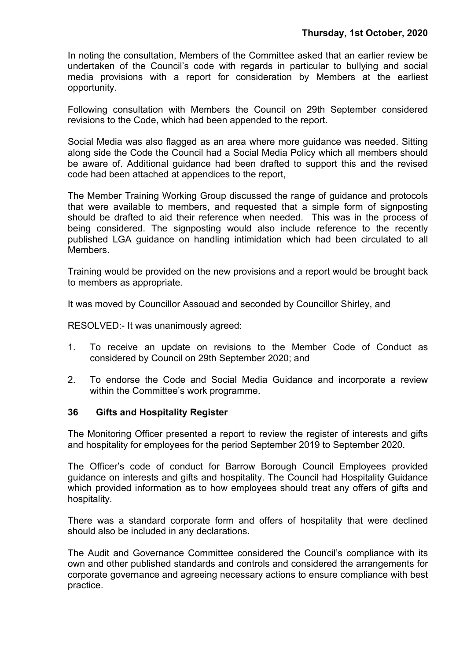In noting the consultation, Members of the Committee asked that an earlier review be undertaken of the Council's code with regards in particular to bullying and social media provisions with a report for consideration by Members at the earliest opportunity.

Following consultation with Members the Council on 29th September considered revisions to the Code, which had been appended to the report.

Social Media was also flagged as an area where more guidance was needed. Sitting along side the Code the Council had a Social Media Policy which all members should be aware of. Additional guidance had been drafted to support this and the revised code had been attached at appendices to the report,

The Member Training Working Group discussed the range of guidance and protocols that were available to members, and requested that a simple form of signposting should be drafted to aid their reference when needed. This was in the process of being considered. The signposting would also include reference to the recently published LGA guidance on handling intimidation which had been circulated to all Members.

Training would be provided on the new provisions and a report would be brought back to members as appropriate.

It was moved by Councillor Assouad and seconded by Councillor Shirley, and

RESOLVED:- It was unanimously agreed:

- 1. To receive an update on revisions to the Member Code of Conduct as considered by Council on 29th September 2020; and
- 2. To endorse the Code and Social Media Guidance and incorporate a review within the Committee's work programme.

### **36 Gifts and Hospitality Register**

The Monitoring Officer presented a report to review the register of interests and gifts and hospitality for employees for the period September 2019 to September 2020.

The Officer's code of conduct for Barrow Borough Council Employees provided guidance on interests and gifts and hospitality. The Council had Hospitality Guidance which provided information as to how employees should treat any offers of gifts and hospitality.

There was a standard corporate form and offers of hospitality that were declined should also be included in any declarations.

The Audit and Governance Committee considered the Council's compliance with its own and other published standards and controls and considered the arrangements for corporate governance and agreeing necessary actions to ensure compliance with best practice.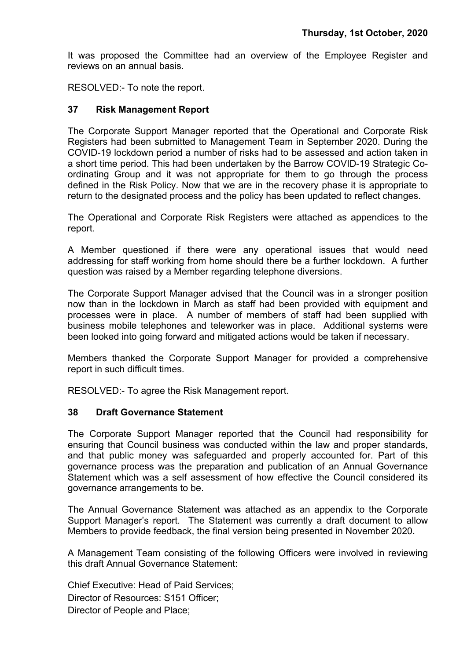It was proposed the Committee had an overview of the Employee Register and reviews on an annual basis.

RESOLVED:- To note the report.

### **37 Risk Management Report**

The Corporate Support Manager reported that the Operational and Corporate Risk Registers had been submitted to Management Team in September 2020. During the COVID-19 lockdown period a number of risks had to be assessed and action taken in a short time period. This had been undertaken by the Barrow COVID-19 Strategic Coordinating Group and it was not appropriate for them to go through the process defined in the Risk Policy. Now that we are in the recovery phase it is appropriate to return to the designated process and the policy has been updated to reflect changes.

The Operational and Corporate Risk Registers were attached as appendices to the report.

A Member questioned if there were any operational issues that would need addressing for staff working from home should there be a further lockdown. A further question was raised by a Member regarding telephone diversions.

The Corporate Support Manager advised that the Council was in a stronger position now than in the lockdown in March as staff had been provided with equipment and processes were in place. A number of members of staff had been supplied with business mobile telephones and teleworker was in place. Additional systems were been looked into going forward and mitigated actions would be taken if necessary.

Members thanked the Corporate Support Manager for provided a comprehensive report in such difficult times.

RESOLVED:- To agree the Risk Management report.

# **38 Draft Governance Statement**

The Corporate Support Manager reported that the Council had responsibility for ensuring that Council business was conducted within the law and proper standards, and that public money was safeguarded and properly accounted for. Part of this governance process was the preparation and publication of an Annual Governance Statement which was a self assessment of how effective the Council considered its governance arrangements to be.

The Annual Governance Statement was attached as an appendix to the Corporate Support Manager's report. The Statement was currently a draft document to allow Members to provide feedback, the final version being presented in November 2020.

A Management Team consisting of the following Officers were involved in reviewing this draft Annual Governance Statement:

Chief Executive: Head of Paid Services; Director of Resources: S151 Officer; Director of People and Place;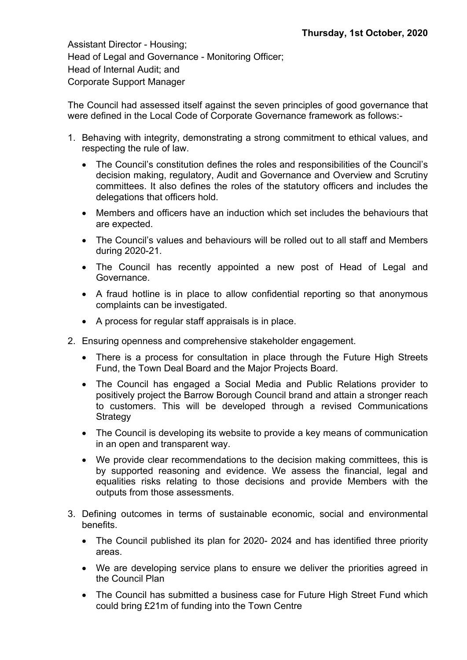Assistant Director - Housing; Head of Legal and Governance - Monitoring Officer; Head of Internal Audit; and Corporate Support Manager

The Council had assessed itself against the seven principles of good governance that were defined in the Local Code of Corporate Governance framework as follows:-

- 1. Behaving with integrity, demonstrating a strong commitment to ethical values, and respecting the rule of law.
	- The Council's constitution defines the roles and responsibilities of the Council's decision making, regulatory, Audit and Governance and Overview and Scrutiny committees. It also defines the roles of the statutory officers and includes the delegations that officers hold.
	- Members and officers have an induction which set includes the behaviours that are expected.
	- The Council's values and behaviours will be rolled out to all staff and Members during 2020-21.
	- The Council has recently appointed a new post of Head of Legal and Governance.
	- A fraud hotline is in place to allow confidential reporting so that anonymous complaints can be investigated.
	- A process for regular staff appraisals is in place.
- 2. Ensuring openness and comprehensive stakeholder engagement.
	- There is a process for consultation in place through the Future High Streets Fund, the Town Deal Board and the Major Projects Board.
	- The Council has engaged a Social Media and Public Relations provider to positively project the Barrow Borough Council brand and attain a stronger reach to customers. This will be developed through a revised Communications **Strategy**
	- The Council is developing its website to provide a key means of communication in an open and transparent way.
	- We provide clear recommendations to the decision making committees, this is by supported reasoning and evidence. We assess the financial, legal and equalities risks relating to those decisions and provide Members with the outputs from those assessments.
- 3. Defining outcomes in terms of sustainable economic, social and environmental benefits.
	- The Council published its plan for 2020- 2024 and has identified three priority areas.
	- We are developing service plans to ensure we deliver the priorities agreed in the Council Plan
	- The Council has submitted a business case for Future High Street Fund which could bring £21m of funding into the Town Centre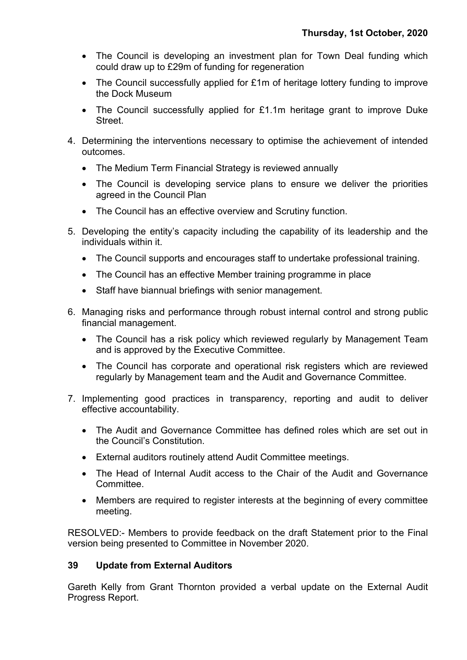- The Council is developing an investment plan for Town Deal funding which could draw up to £29m of funding for regeneration
- The Council successfully applied for £1m of heritage lottery funding to improve the Dock Museum
- The Council successfully applied for £1.1m heritage grant to improve Duke **Street**
- 4. Determining the interventions necessary to optimise the achievement of intended outcomes.
	- The Medium Term Financial Strategy is reviewed annually
	- The Council is developing service plans to ensure we deliver the priorities agreed in the Council Plan
	- The Council has an effective overview and Scrutiny function.
- 5. Developing the entity's capacity including the capability of its leadership and the individuals within it.
	- The Council supports and encourages staff to undertake professional training.
	- The Council has an effective Member training programme in place
	- Staff have biannual briefings with senior management.
- 6. Managing risks and performance through robust internal control and strong public financial management.
	- The Council has a risk policy which reviewed regularly by Management Team and is approved by the Executive Committee.
	- The Council has corporate and operational risk registers which are reviewed regularly by Management team and the Audit and Governance Committee.
- 7. Implementing good practices in transparency, reporting and audit to deliver effective accountability.
	- The Audit and Governance Committee has defined roles which are set out in the Council's Constitution.
	- External auditors routinely attend Audit Committee meetings.
	- The Head of Internal Audit access to the Chair of the Audit and Governance Committee.
	- Members are required to register interests at the beginning of every committee meeting.

RESOLVED:- Members to provide feedback on the draft Statement prior to the Final version being presented to Committee in November 2020.

# **39 Update from External Auditors**

Gareth Kelly from Grant Thornton provided a verbal update on the External Audit Progress Report.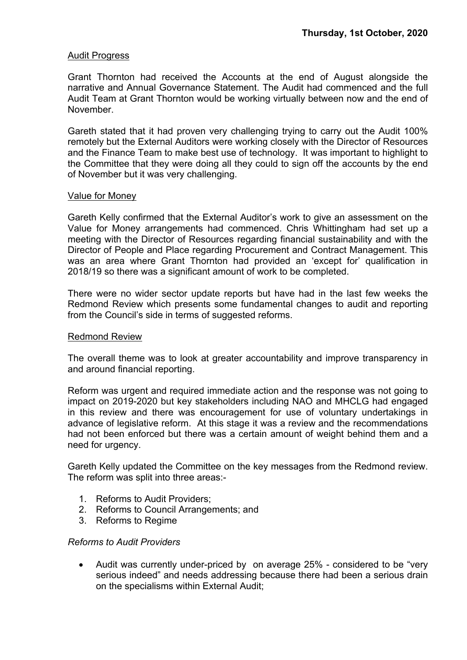### Audit Progress

Grant Thornton had received the Accounts at the end of August alongside the narrative and Annual Governance Statement. The Audit had commenced and the full Audit Team at Grant Thornton would be working virtually between now and the end of November.

Gareth stated that it had proven very challenging trying to carry out the Audit 100% remotely but the External Auditors were working closely with the Director of Resources and the Finance Team to make best use of technology. It was important to highlight to the Committee that they were doing all they could to sign off the accounts by the end of November but it was very challenging.

### Value for Money

Gareth Kelly confirmed that the External Auditor's work to give an assessment on the Value for Money arrangements had commenced. Chris Whittingham had set up a meeting with the Director of Resources regarding financial sustainability and with the Director of People and Place regarding Procurement and Contract Management. This was an area where Grant Thornton had provided an 'except for' qualification in 2018/19 so there was a significant amount of work to be completed.

There were no wider sector update reports but have had in the last few weeks the Redmond Review which presents some fundamental changes to audit and reporting from the Council's side in terms of suggested reforms.

### Redmond Review

The overall theme was to look at greater accountability and improve transparency in and around financial reporting.

Reform was urgent and required immediate action and the response was not going to impact on 2019-2020 but key stakeholders including NAO and MHCLG had engaged in this review and there was encouragement for use of voluntary undertakings in advance of legislative reform. At this stage it was a review and the recommendations had not been enforced but there was a certain amount of weight behind them and a need for urgency.

Gareth Kelly updated the Committee on the key messages from the Redmond review. The reform was split into three areas:-

- 1. Reforms to Audit Providers;
- 2. Reforms to Council Arrangements; and
- 3. Reforms to Regime

### *Reforms to Audit Providers*

 Audit was currently under-priced by on average 25% - considered to be "very serious indeed" and needs addressing because there had been a serious drain on the specialisms within External Audit;